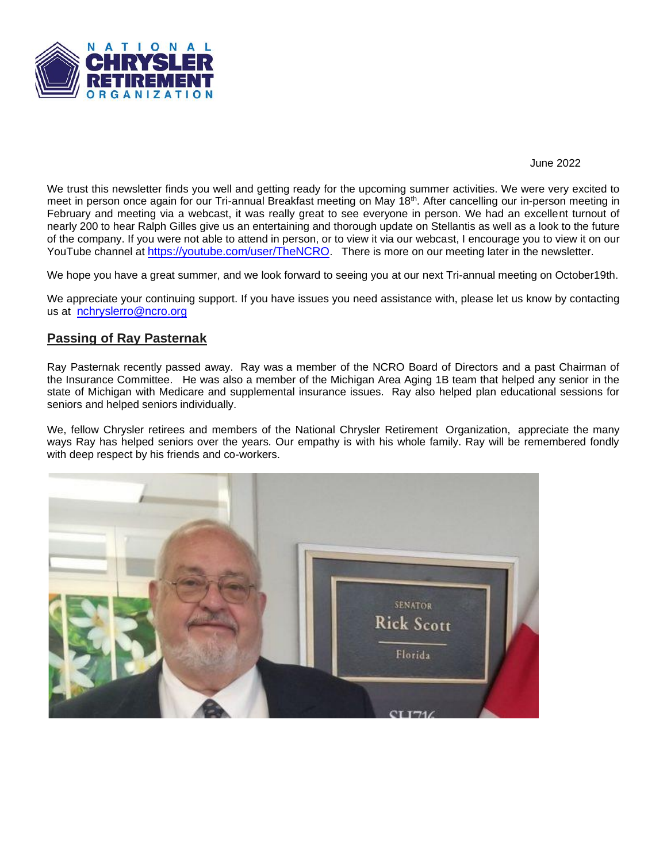

June 2022

We trust this newsletter finds you well and getting ready for the upcoming summer activities. We were very excited to meet in person once again for our Tri-annual Breakfast meeting on May 18<sup>th</sup>. After cancelling our in-person meeting in February and meeting via a webcast, it was really great to see everyone in person. We had an excellent turnout of nearly 200 to hear Ralph Gilles give us an entertaining and thorough update on Stellantis as well as a look to the future of the company. If you were not able to attend in person, or to view it via our webcast, I encourage you to view it on our YouTube channel at https://youtube.com/user/TheNCRO. There is more on our meeting later in the newsletter.

We hope you have a great summer, and we look forward to seeing you at our next Tri-annual meeting on October19th.

We appreciate your continuing support. If you have issues you need assistance with, please let us know by contacting us at [nchryslerro@ncro.org](mailto:nchryslerro@ncro.org)

### **Passing of Ray Pasternak**

Ray Pasternak recently passed away. Ray was a member of the NCRO Board of Directors and a past Chairman of the Insurance Committee. He was also a member of the Michigan Area Aging 1B team that helped any senior in the state of Michigan with Medicare and supplemental insurance issues. Ray also helped plan educational sessions for seniors and helped seniors individually.

We, fellow Chrysler retirees and members of the National Chrysler Retirement Organization, appreciate the many ways Ray has helped seniors over the years. Our empathy is with his whole family. Ray will be remembered fondly with deep respect by his friends and co-workers.

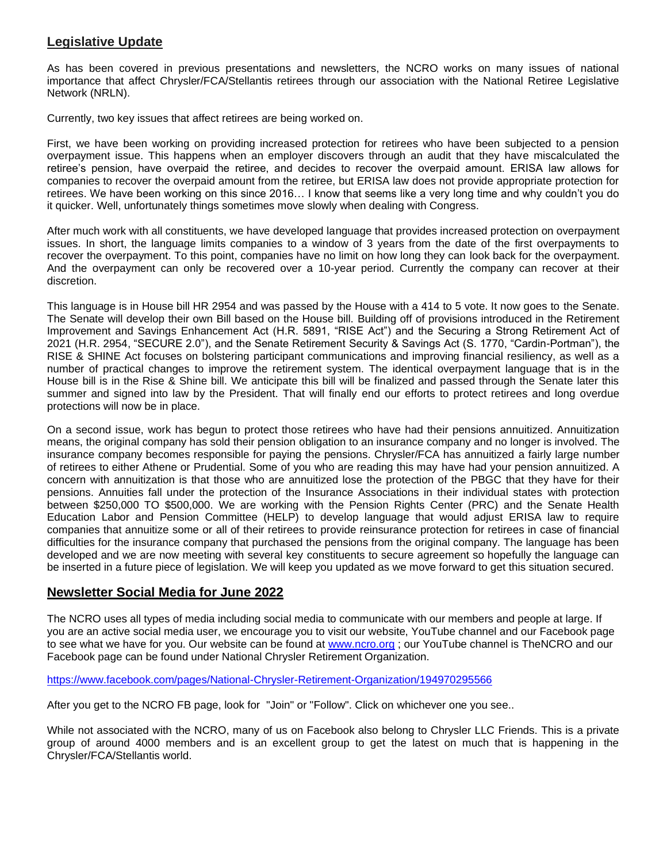# **Legislative Update**

As has been covered in previous presentations and newsletters, the NCRO works on many issues of national importance that affect Chrysler/FCA/Stellantis retirees through our association with the National Retiree Legislative Network (NRLN).

Currently, two key issues that affect retirees are being worked on.

First, we have been working on providing increased protection for retirees who have been subjected to a pension overpayment issue. This happens when an employer discovers through an audit that they have miscalculated the retiree's pension, have overpaid the retiree, and decides to recover the overpaid amount. ERISA law allows for companies to recover the overpaid amount from the retiree, but ERISA law does not provide appropriate protection for retirees. We have been working on this since 2016… I know that seems like a very long time and why couldn't you do it quicker. Well, unfortunately things sometimes move slowly when dealing with Congress.

After much work with all constituents, we have developed language that provides increased protection on overpayment issues. In short, the language limits companies to a window of 3 years from the date of the first overpayments to recover the overpayment. To this point, companies have no limit on how long they can look back for the overpayment. And the overpayment can only be recovered over a 10-year period. Currently the company can recover at their discretion.

This language is in House bill HR 2954 and was passed by the House with a 414 to 5 vote. It now goes to the Senate. The Senate will develop their own Bill based on the House bill. Building off of provisions introduced in the Retirement Improvement and Savings Enhancement Act (H.R. 5891, "RISE Act") and the Securing a Strong Retirement Act of 2021 (H.R. 2954, "SECURE 2.0"), and the Senate Retirement Security & Savings Act (S. 1770, "Cardin-Portman"), the RISE & SHINE Act focuses on bolstering participant communications and improving financial resiliency, as well as a number of practical changes to improve the retirement system. The identical overpayment language that is in the House bill is in the Rise & Shine bill. We anticipate this bill will be finalized and passed through the Senate later this summer and signed into law by the President. That will finally end our efforts to protect retirees and long overdue protections will now be in place.

On a second issue, work has begun to protect those retirees who have had their pensions annuitized. Annuitization means, the original company has sold their pension obligation to an insurance company and no longer is involved. The insurance company becomes responsible for paying the pensions. Chrysler/FCA has annuitized a fairly large number of retirees to either Athene or Prudential. Some of you who are reading this may have had your pension annuitized. A concern with annuitization is that those who are annuitized lose the protection of the PBGC that they have for their pensions. Annuities fall under the protection of the Insurance Associations in their individual states with protection between \$250,000 TO \$500,000. We are working with the Pension Rights Center (PRC) and the Senate Health Education Labor and Pension Committee (HELP) to develop language that would adjust ERISA law to require companies that annuitize some or all of their retirees to provide reinsurance protection for retirees in case of financial difficulties for the insurance company that purchased the pensions from the original company. The language has been developed and we are now meeting with several key constituents to secure agreement so hopefully the language can be inserted in a future piece of legislation. We will keep you updated as we move forward to get this situation secured.

# **Newsletter Social Media for June 2022**

The NCRO uses all types of media including social media to communicate with our members and people at large. If you are an active social media user, we encourage you to visit our website, YouTube channel and our Facebook page to see what we have for you. Our website can be found at [www.ncro.org](http://www.ncro.org/) ; our YouTube channel is TheNCRO and our Facebook page can be found under National Chrysler Retirement Organization.

<https://www.facebook.com/pages/National-Chrysler-Retirement-Organization/194970295566>

After you get to the NCRO FB page, look for "Join" or "Follow". Click on whichever one you see..

While not associated with the NCRO, many of us on Facebook also belong to Chrysler LLC Friends. This is a private group of around 4000 members and is an excellent group to get the latest on much that is happening in the Chrysler/FCA/Stellantis world.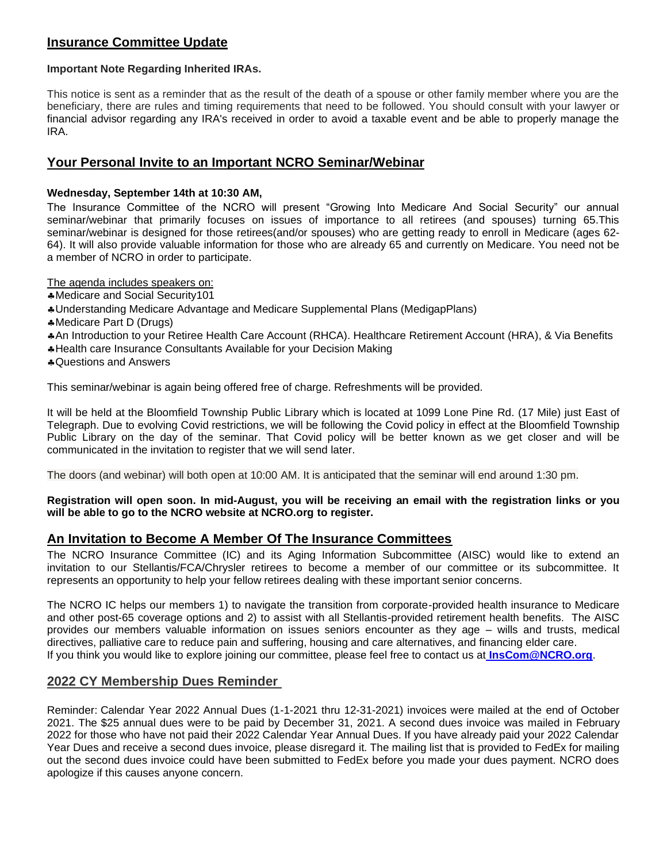### **Insurance Committee Update**

# **Important Note Regarding Inherited IRAs.**

This notice is sent as a reminder that as the result of the death of a spouse or other family member where you are the beneficiary, there are rules and timing requirements that need to be followed. You should consult with your lawyer or financial advisor regarding any IRA's received in order to avoid a taxable event and be able to properly manage the IRA.

# **Your Personal Invite to an Important NCRO Seminar/Webinar**

# **Wednesday, September 14th at 10:30 AM,**

The Insurance Committee of the NCRO will present "Growing Into Medicare And Social Security" our annual seminar/webinar that primarily focuses on issues of importance to all retirees (and spouses) turning 65.This seminar/webinar is designed for those retirees(and/or spouses) who are getting ready to enroll in Medicare (ages 62- 64). It will also provide valuable information for those who are already 65 and currently on Medicare. You need not be a member of NCRO in order to participate.

The agenda includes speakers on:

- Medicare and Social Security101
- Understanding Medicare Advantage and Medicare Supplemental Plans (MedigapPlans)
- Medicare Part D (Drugs)
- An Introduction to your Retiree Health Care Account (RHCA). Healthcare Retirement Account (HRA), & Via Benefits
- Health care Insurance Consultants Available for your Decision Making
- Questions and Answers

This seminar/webinar is again being offered free of charge. Refreshments will be provided.

It will be held at the Bloomfield Township Public Library which is located at 1099 Lone Pine Rd. (17 Mile) just East of Telegraph. Due to evolving Covid restrictions, we will be following the Covid policy in effect at the Bloomfield Township Public Library on the day of the seminar. That Covid policy will be better known as we get closer and will be communicated in the invitation to register that we will send later.

The doors (and webinar) will both open at 10:00 AM. It is anticipated that the seminar will end around 1:30 pm.

#### **Registration will open soon. In mid-August, you will be receiving an email with the registration links or you will be able to go to the NCRO website at NCRO.org to register.**

### **An Invitation to Become A Member Of The Insurance Committees**

The NCRO Insurance Committee (IC) and its Aging Information Subcommittee (AISC) would like to extend an invitation to our Stellantis/FCA/Chrysler retirees to become a member of our committee or its subcommittee. It represents an opportunity to help your fellow retirees dealing with these important senior concerns.

The NCRO IC helps our members 1) to navigate the transition from corporate-provided health insurance to Medicare and other post-65 coverage options and 2) to assist with all Stellantis-provided retirement health benefits. The AISC provides our members valuable information on issues seniors encounter as they age – wills and trusts, medical directives, palliative care to reduce pain and suffering, housing and care alternatives, and financing elder care. If you think you would like to explore joining our committee, please feel free to contact us at **[InsCom@NCRO.org](mailto:InsCom@NCRO.org)**.

# **2022 CY Membership Dues Reminder**

Reminder: Calendar Year 2022 Annual Dues (1-1-2021 thru 12-31-2021) invoices were mailed at the end of October 2021. The \$25 annual dues were to be paid by December 31, 2021. A second dues invoice was mailed in February 2022 for those who have not paid their 2022 Calendar Year Annual Dues. If you have already paid your 2022 Calendar Year Dues and receive a second dues invoice, please disregard it. The mailing list that is provided to FedEx for mailing out the second dues invoice could have been submitted to FedEx before you made your dues payment. NCRO does apologize if this causes anyone concern.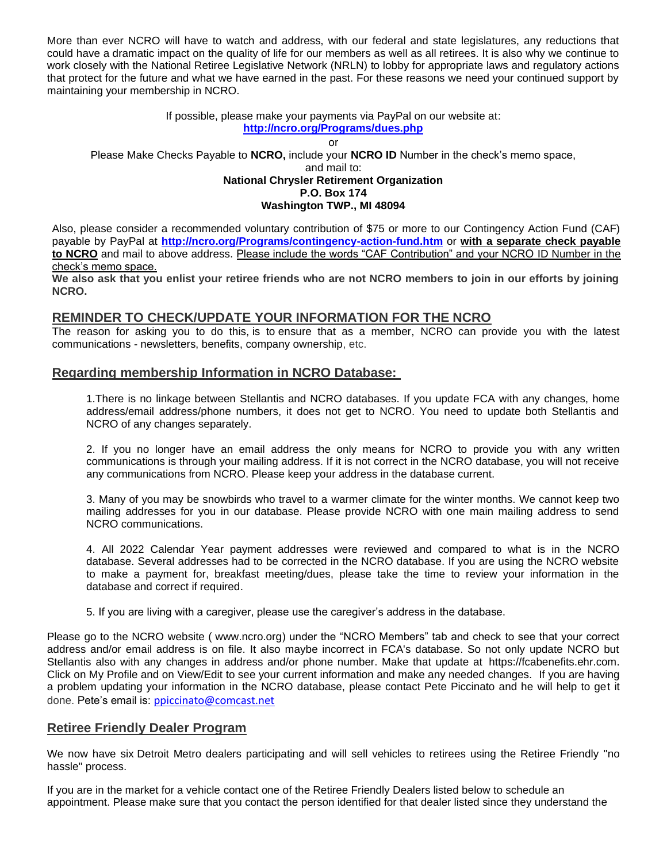More than ever NCRO will have to watch and address, with our federal and state legislatures, any reductions that could have a dramatic impact on the quality of life for our members as well as all retirees. It is also why we continue to work closely with the National Retiree Legislative Network (NRLN) to lobby for appropriate laws and regulatory actions that protect for the future and what we have earned in the past. For these reasons we need your continued support by maintaining your membership in NCRO.

If possible, please make your payments via PayPal on our website at:

**<http://ncro.org/Programs/dues.php>**

or Please Make Checks Payable to **NCRO,** include your **NCRO ID** Number in the check's memo space,

#### and mail to:

**National Chrysler Retirement Organization P.O. Box 174**

**Washington TWP., MI 48094**

Also, please consider a recommended voluntary contribution of \$75 or more to our Contingency Action Fund (CAF) payable by PayPal at **<http://ncro.org/Programs/contingency-action-fund.htm>** or **with a separate check payable to NCRO** and mail to above address. Please include the words "CAF Contribution" and your NCRO ID Number in the check's memo space.

**We also ask that you enlist your retiree friends who are not NCRO members to join in our efforts by joining NCRO.**

# **REMINDER TO CHECK/UPDATE YOUR INFORMATION FOR THE NCRO**

The reason for asking you to do this, is to ensure that as a member, NCRO can provide you with the latest communications - newsletters, benefits, company ownership, etc.

# **Regarding membership Information in NCRO Database:**

1.There is no linkage between Stellantis and NCRO databases. If you update FCA with any changes, home address/email address/phone numbers, it does not get to NCRO. You need to update both Stellantis and NCRO of any changes separately.

2. If you no longer have an email address the only means for NCRO to provide you with any written communications is through your mailing address. If it is not correct in the NCRO database, you will not receive any communications from NCRO. Please keep your address in the database current.

3. Many of you may be snowbirds who travel to a warmer climate for the winter months. We cannot keep two mailing addresses for you in our database. Please provide NCRO with one main mailing address to send NCRO communications.

4. All 2022 Calendar Year payment addresses were reviewed and compared to what is in the NCRO database. Several addresses had to be corrected in the NCRO database. If you are using the NCRO website to make a payment for, breakfast meeting/dues, please take the time to review your information in the database and correct if required.

5. If you are living with a caregiver, please use the caregiver's address in the database.

Please go to the NCRO website ( [www.ncro.org\)](http://www.ncro.org/) under the "NCRO Members" tab and check to see that your correct address and/or email address is on file. It also maybe incorrect in FCA's database. So not only update NCRO but Stellantis also with any changes in address and/or phone number. Make that update at [https://fcabenefits.ehr.com.](https://fcabenefits.ehr.com/) Click on My Profile and on View/Edit to see your current information and make any needed changes. If you are having a problem updating your information in the NCRO database, please contact Pete Piccinato and he will help to get it done. Pete's email is: [ppiccinato@comcast.net](mailto:ppiccinato@comcast.net)

# **Retiree Friendly Dealer Program**

We now have six Detroit Metro dealers participating and will sell vehicles to retirees using the Retiree Friendly "no hassle" process.

If you are in the market for a vehicle contact one of the Retiree Friendly Dealers listed below to schedule an appointment. Please make sure that you contact the person identified for that dealer listed since they understand the